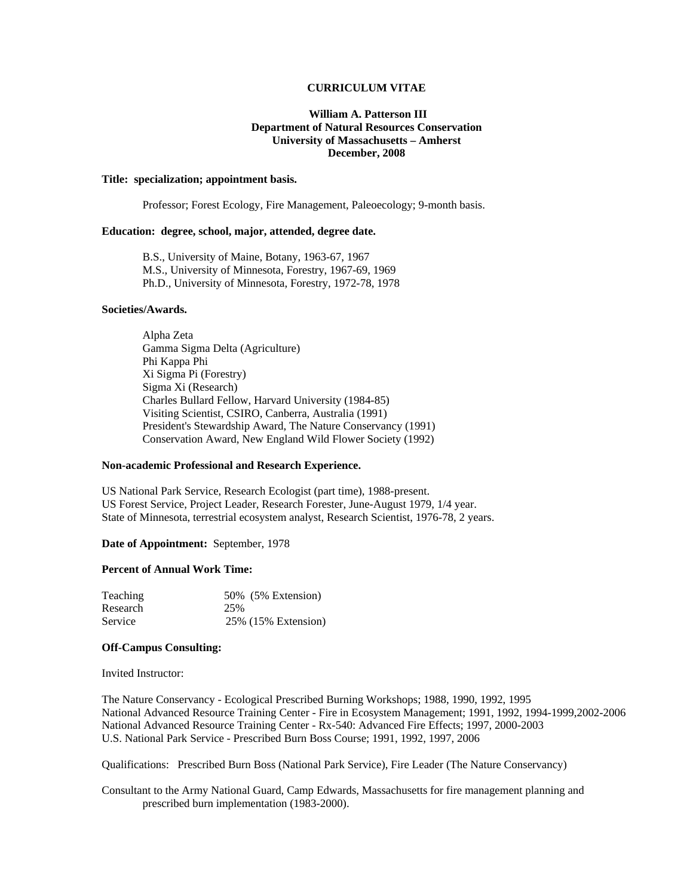## **CURRICULUM VITAE**

## **William A. Patterson III Department of Natural Resources Conservation University of Massachusetts – Amherst December, 2008**

### **Title: specialization; appointment basis.**

Professor; Forest Ecology, Fire Management, Paleoecology; 9-month basis.

## **Education: degree, school, major, attended, degree date.**

 B.S., University of Maine, Botany, 1963-67, 1967 M.S., University of Minnesota, Forestry, 1967-69, 1969 Ph.D., University of Minnesota, Forestry, 1972-78, 1978

#### **Societies/Awards.**

 Alpha Zeta Gamma Sigma Delta (Agriculture) Phi Kappa Phi Xi Sigma Pi (Forestry) Sigma Xi (Research) Charles Bullard Fellow, Harvard University (1984-85) Visiting Scientist, CSIRO, Canberra, Australia (1991) President's Stewardship Award, The Nature Conservancy (1991) Conservation Award, New England Wild Flower Society (1992)

### **Non-academic Professional and Research Experience.**

US National Park Service, Research Ecologist (part time), 1988-present. US Forest Service, Project Leader, Research Forester, June-August 1979, 1/4 year. State of Minnesota, terrestrial ecosystem analyst, Research Scientist, 1976-78, 2 years.

#### **Date of Appointment:** September, 1978

#### **Percent of Annual Work Time:**

| Teaching | 50% (5% Extension)  |
|----------|---------------------|
| Research | 25%                 |
| Service  | 25% (15% Extension) |

#### **Off-Campus Consulting:**

Invited Instructor:

The Nature Conservancy - Ecological Prescribed Burning Workshops; 1988, 1990, 1992, 1995 National Advanced Resource Training Center - Fire in Ecosystem Management; 1991, 1992, 1994-1999,2002-2006 National Advanced Resource Training Center - Rx-540: Advanced Fire Effects; 1997, 2000-2003 U.S. National Park Service - Prescribed Burn Boss Course; 1991, 1992, 1997, 2006

Qualifications: Prescribed Burn Boss (National Park Service), Fire Leader (The Nature Conservancy)

Consultant to the Army National Guard, Camp Edwards, Massachusetts for fire management planning and prescribed burn implementation (1983-2000).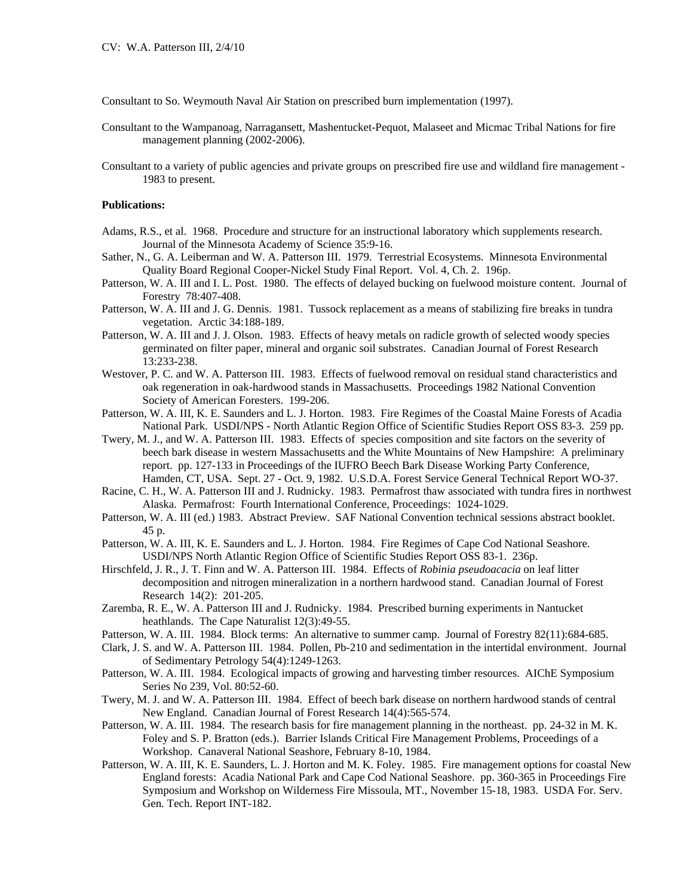Consultant to So. Weymouth Naval Air Station on prescribed burn implementation (1997).

- Consultant to the Wampanoag, Narragansett, Mashentucket-Pequot, Malaseet and Micmac Tribal Nations for fire management planning (2002-2006).
- Consultant to a variety of public agencies and private groups on prescribed fire use and wildland fire management 1983 to present.

# **Publications:**

- Adams, R.S., et al. 1968. Procedure and structure for an instructional laboratory which supplements research. Journal of the Minnesota Academy of Science 35:9-16.
- Sather, N., G. A. Leiberman and W. A. Patterson III. 1979. Terrestrial Ecosystems. Minnesota Environmental Quality Board Regional Cooper-Nickel Study Final Report. Vol. 4, Ch. 2. 196p.
- Patterson, W. A. III and I. L. Post. 1980. The effects of delayed bucking on fuelwood moisture content. Journal of Forestry 78:407-408.
- Patterson, W. A. III and J. G. Dennis. 1981. Tussock replacement as a means of stabilizing fire breaks in tundra vegetation. Arctic 34:188-189.
- Patterson, W. A. III and J. J. Olson. 1983. Effects of heavy metals on radicle growth of selected woody species germinated on filter paper, mineral and organic soil substrates. Canadian Journal of Forest Research 13:233-238.
- Westover, P. C. and W. A. Patterson III. 1983. Effects of fuelwood removal on residual stand characteristics and oak regeneration in oak-hardwood stands in Massachusetts. Proceedings 1982 National Convention Society of American Foresters. 199-206.
- Patterson, W. A. III, K. E. Saunders and L. J. Horton. 1983. Fire Regimes of the Coastal Maine Forests of Acadia National Park. USDI/NPS - North Atlantic Region Office of Scientific Studies Report OSS 83-3. 259 pp.
- Twery, M. J., and W. A. Patterson III. 1983. Effects of species composition and site factors on the severity of beech bark disease in western Massachusetts and the White Mountains of New Hampshire: A preliminary report. pp. 127-133 in Proceedings of the IUFRO Beech Bark Disease Working Party Conference, Hamden, CT, USA. Sept. 27 - Oct. 9, 1982. U.S.D.A. Forest Service General Technical Report WO-37.
- Racine, C. H., W. A. Patterson III and J. Rudnicky. 1983. Permafrost thaw associated with tundra fires in northwest Alaska. Permafrost: Fourth International Conference, Proceedings: 1024-1029.
- Patterson, W. A. III (ed.) 1983. Abstract Preview. SAF National Convention technical sessions abstract booklet. 45 p.
- Patterson, W. A. III, K. E. Saunders and L. J. Horton. 1984. Fire Regimes of Cape Cod National Seashore. USDI/NPS North Atlantic Region Office of Scientific Studies Report OSS 83-1. 236p.
- Hirschfeld, J. R., J. T. Finn and W. A. Patterson III. 1984. Effects of *Robinia pseudoacacia* on leaf litter decomposition and nitrogen mineralization in a northern hardwood stand. Canadian Journal of Forest Research 14(2): 201-205.
- Zaremba, R. E., W. A. Patterson III and J. Rudnicky. 1984. Prescribed burning experiments in Nantucket heathlands. The Cape Naturalist 12(3):49-55.
- Patterson, W. A. III. 1984. Block terms: An alternative to summer camp. Journal of Forestry 82(11):684-685.
- Clark, J. S. and W. A. Patterson III. 1984. Pollen, Pb-210 and sedimentation in the intertidal environment. Journal of Sedimentary Petrology 54(4):1249-1263.
- Patterson, W. A. III. 1984. Ecological impacts of growing and harvesting timber resources. AIChE Symposium Series No 239, Vol. 80:52-60.
- Twery, M. J. and W. A. Patterson III. 1984. Effect of beech bark disease on northern hardwood stands of central New England. Canadian Journal of Forest Research 14(4):565-574.
- Patterson, W. A. III. 1984. The research basis for fire management planning in the northeast. pp. 24-32 in M. K. Foley and S. P. Bratton (eds.). Barrier Islands Critical Fire Management Problems, Proceedings of a Workshop. Canaveral National Seashore, February 8-10, 1984.
- Patterson, W. A. III, K. E. Saunders, L. J. Horton and M. K. Foley. 1985. Fire management options for coastal New England forests: Acadia National Park and Cape Cod National Seashore. pp. 360-365 in Proceedings Fire Symposium and Workshop on Wilderness Fire Missoula, MT., November 15-18, 1983. USDA For. Serv. Gen. Tech. Report INT-182.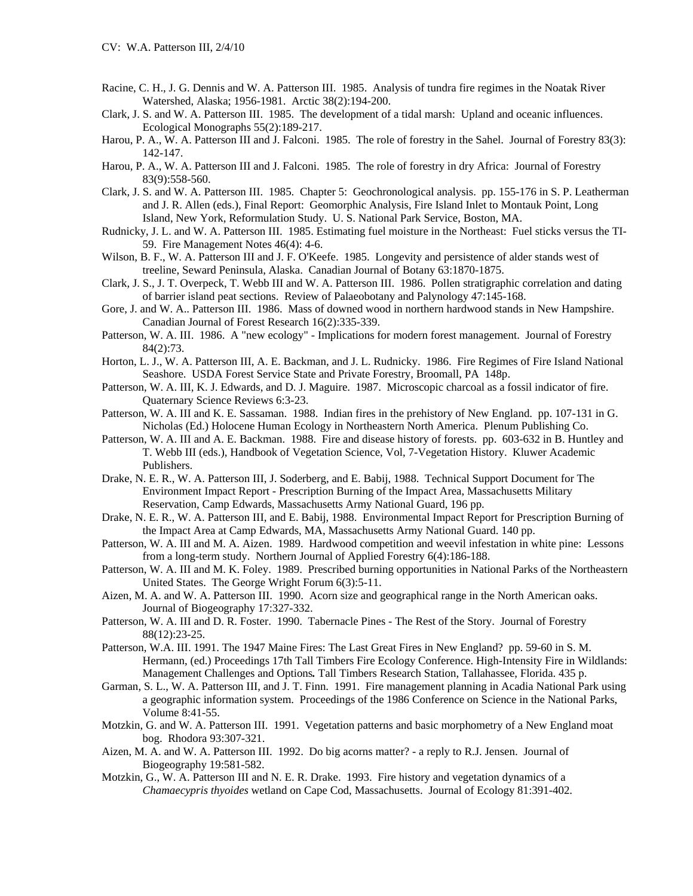- Racine, C. H., J. G. Dennis and W. A. Patterson III. 1985. Analysis of tundra fire regimes in the Noatak River Watershed, Alaska; 1956-1981. Arctic 38(2):194-200.
- Clark, J. S. and W. A. Patterson III. 1985. The development of a tidal marsh: Upland and oceanic influences. Ecological Monographs 55(2):189-217.
- Harou, P. A., W. A. Patterson III and J. Falconi. 1985. The role of forestry in the Sahel. Journal of Forestry 83(3): 142-147.
- Harou, P. A., W. A. Patterson III and J. Falconi. 1985. The role of forestry in dry Africa: Journal of Forestry 83(9):558-560.
- Clark, J. S. and W. A. Patterson III. 1985. Chapter 5: Geochronological analysis. pp. 155-176 in S. P. Leatherman and J. R. Allen (eds.), Final Report: Geomorphic Analysis, Fire Island Inlet to Montauk Point, Long Island, New York, Reformulation Study. U. S. National Park Service, Boston, MA.
- Rudnicky, J. L. and W. A. Patterson III. 1985. Estimating fuel moisture in the Northeast: Fuel sticks versus the TI-59. Fire Management Notes 46(4): 4-6.
- Wilson, B. F., W. A. Patterson III and J. F. O'Keefe. 1985. Longevity and persistence of alder stands west of treeline, Seward Peninsula, Alaska. Canadian Journal of Botany 63:1870-1875.
- Clark, J. S., J. T. Overpeck, T. Webb III and W. A. Patterson III. 1986. Pollen stratigraphic correlation and dating of barrier island peat sections. Review of Palaeobotany and Palynology 47:145-168.
- Gore, J. and W. A.. Patterson III. 1986. Mass of downed wood in northern hardwood stands in New Hampshire. Canadian Journal of Forest Research 16(2):335-339.
- Patterson, W. A. III. 1986. A "new ecology" Implications for modern forest management. Journal of Forestry 84(2):73.
- Horton, L. J., W. A. Patterson III, A. E. Backman, and J. L. Rudnicky. 1986. Fire Regimes of Fire Island National Seashore. USDA Forest Service State and Private Forestry, Broomall, PA 148p.
- Patterson, W. A. III, K. J. Edwards, and D. J. Maguire. 1987. Microscopic charcoal as a fossil indicator of fire. Quaternary Science Reviews 6:3-23.
- Patterson, W. A. III and K. E. Sassaman. 1988. Indian fires in the prehistory of New England. pp. 107-131 in G. Nicholas (Ed.) Holocene Human Ecology in Northeastern North America. Plenum Publishing Co.
- Patterson, W. A. III and A. E. Backman. 1988. Fire and disease history of forests. pp. 603-632 in B. Huntley and T. Webb III (eds.), Handbook of Vegetation Science, Vol, 7-Vegetation History. Kluwer Academic Publishers.
- Drake, N. E. R., W. A. Patterson III, J. Soderberg, and E. Babij, 1988. Technical Support Document for The Environment Impact Report - Prescription Burning of the Impact Area, Massachusetts Military Reservation, Camp Edwards, Massachusetts Army National Guard, 196 pp.
- Drake, N. E. R., W. A. Patterson III, and E. Babij, 1988. Environmental Impact Report for Prescription Burning of the Impact Area at Camp Edwards, MA, Massachusetts Army National Guard. 140 pp.
- Patterson, W. A. III and M. A. Aizen. 1989. Hardwood competition and weevil infestation in white pine: Lessons from a long-term study. Northern Journal of Applied Forestry 6(4):186-188.
- Patterson, W. A. III and M. K. Foley. 1989. Prescribed burning opportunities in National Parks of the Northeastern United States. The George Wright Forum 6(3):5-11.
- Aizen, M. A. and W. A. Patterson III. 1990. Acorn size and geographical range in the North American oaks. Journal of Biogeography 17:327-332.
- Patterson, W. A. III and D. R. Foster. 1990. Tabernacle Pines The Rest of the Story. Journal of Forestry 88(12):23-25.
- Patterson, W.A. III. 1991. The 1947 Maine Fires: The Last Great Fires in New England? pp. 59-60 in S. M. Hermann, (ed.) Proceedings 17th Tall Timbers Fire Ecology Conference. High-Intensity Fire in Wildlands: Management Challenges and Options*.* Tall Timbers Research Station, Tallahassee, Florida. 435 p.
- Garman, S. L., W. A. Patterson III, and J. T. Finn. 1991. Fire management planning in Acadia National Park using a geographic information system. Proceedings of the 1986 Conference on Science in the National Parks, Volume 8:41-55.
- Motzkin, G. and W. A. Patterson III. 1991. Vegetation patterns and basic morphometry of a New England moat bog. Rhodora 93:307-321.
- Aizen, M. A. and W. A. Patterson III. 1992. Do big acorns matter? a reply to R.J. Jensen. Journal of Biogeography 19:581-582.
- Motzkin, G., W. A. Patterson III and N. E. R. Drake. 1993. Fire history and vegetation dynamics of a *Chamaecypris thyoides* wetland on Cape Cod, Massachusetts. Journal of Ecology 81:391-402.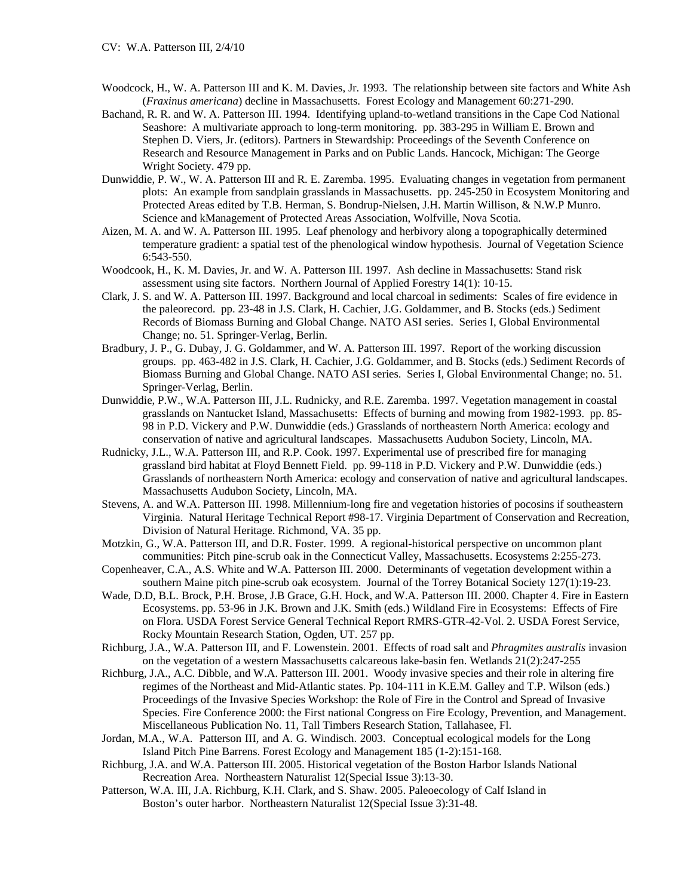- Woodcock, H., W. A. Patterson III and K. M. Davies, Jr. 1993. The relationship between site factors and White Ash (*Fraxinus americana*) decline in Massachusetts. Forest Ecology and Management 60:271-290.
- Bachand, R. R. and W. A. Patterson III. 1994. Identifying upland-to-wetland transitions in the Cape Cod National Seashore: A multivariate approach to long-term monitoring. pp. 383-295 in William E. Brown and Stephen D. Viers, Jr. (editors). Partners in Stewardship: Proceedings of the Seventh Conference on Research and Resource Management in Parks and on Public Lands. Hancock, Michigan: The George Wright Society. 479 pp.
- Dunwiddie, P. W., W. A. Patterson III and R. E. Zaremba. 1995. Evaluating changes in vegetation from permanent plots: An example from sandplain grasslands in Massachusetts. pp. 245-250 in Ecosystem Monitoring and Protected Areas edited by T.B. Herman, S. Bondrup-Nielsen, J.H. Martin Willison, & N.W.P Munro. Science and kManagement of Protected Areas Association, Wolfville, Nova Scotia.
- Aizen, M. A. and W. A. Patterson III. 1995. Leaf phenology and herbivory along a topographically determined temperature gradient: a spatial test of the phenological window hypothesis. Journal of Vegetation Science 6:543-550.
- Woodcook, H., K. M. Davies, Jr. and W. A. Patterson III. 1997. Ash decline in Massachusetts: Stand risk assessment using site factors. Northern Journal of Applied Forestry 14(1): 10-15.
- Clark, J. S. and W. A. Patterson III. 1997. Background and local charcoal in sediments: Scales of fire evidence in the paleorecord. pp. 23-48 in J.S. Clark, H. Cachier, J.G. Goldammer, and B. Stocks (eds.) Sediment Records of Biomass Burning and Global Change. NATO ASI series. Series I, Global Environmental Change; no. 51. Springer-Verlag, Berlin.
- Bradbury, J. P., G. Dubay, J. G. Goldammer, and W. A. Patterson III. 1997. Report of the working discussion groups. pp. 463-482 in J.S. Clark, H. Cachier, J.G. Goldammer, and B. Stocks (eds.) Sediment Records of Biomass Burning and Global Change. NATO ASI series. Series I, Global Environmental Change; no. 51. Springer-Verlag, Berlin.
- Dunwiddie, P.W., W.A. Patterson III, J.L. Rudnicky, and R.E. Zaremba. 1997. Vegetation management in coastal grasslands on Nantucket Island, Massachusetts: Effects of burning and mowing from 1982-1993. pp. 85- 98 in P.D. Vickery and P.W. Dunwiddie (eds.) Grasslands of northeastern North America: ecology and conservation of native and agricultural landscapes. Massachusetts Audubon Society, Lincoln, MA.
- Rudnicky, J.L., W.A. Patterson III, and R.P. Cook. 1997. Experimental use of prescribed fire for managing grassland bird habitat at Floyd Bennett Field. pp. 99-118 in P.D. Vickery and P.W. Dunwiddie (eds.) Grasslands of northeastern North America: ecology and conservation of native and agricultural landscapes. Massachusetts Audubon Society, Lincoln, MA.
- Stevens, A. and W.A. Patterson III. 1998. Millennium-long fire and vegetation histories of pocosins if southeastern Virginia. Natural Heritage Technical Report #98-17. Virginia Department of Conservation and Recreation, Division of Natural Heritage. Richmond, VA. 35 pp.
- Motzkin, G., W.A. Patterson III, and D.R. Foster. 1999. A regional-historical perspective on uncommon plant communities: Pitch pine-scrub oak in the Connecticut Valley, Massachusetts. Ecosystems 2:255-273.
- Copenheaver, C.A., A.S. White and W.A. Patterson III. 2000. Determinants of vegetation development within a southern Maine pitch pine-scrub oak ecosystem. Journal of the Torrey Botanical Society 127(1):19-23.
- Wade, D.D, B.L. Brock, P.H. Brose, J.B Grace, G.H. Hock, and W.A. Patterson III. 2000. Chapter 4. Fire in Eastern Ecosystems. pp. 53-96 in J.K. Brown and J.K. Smith (eds.) Wildland Fire in Ecosystems: Effects of Fire on Flora. USDA Forest Service General Technical Report RMRS-GTR-42-Vol. 2. USDA Forest Service, Rocky Mountain Research Station, Ogden, UT. 257 pp.
- Richburg, J.A., W.A. Patterson III, and F. Lowenstein. 2001. Effects of road salt and *Phragmites australis* invasion on the vegetation of a western Massachusetts calcareous lake-basin fen. Wetlands 21(2):247-255
- Richburg, J.A., A.C. Dibble, and W.A. Patterson III. 2001. Woody invasive species and their role in altering fire regimes of the Northeast and Mid-Atlantic states. Pp. 104-111 in K.E.M. Galley and T.P. Wilson (eds.) Proceedings of the Invasive Species Workshop: the Role of Fire in the Control and Spread of Invasive Species. Fire Conference 2000: the First national Congress on Fire Ecology, Prevention, and Management. Miscellaneous Publication No. 11, Tall Timbers Research Station, Tallahasee, Fl.
- Jordan, M.A., W.A. Patterson III, and A. G. Windisch. 2003. Conceptual ecological models for the Long Island Pitch Pine Barrens. Forest Ecology and Management 185 (1-2):151-168.
- Richburg, J.A. and W.A. Patterson III. 2005. Historical vegetation of the Boston Harbor Islands National Recreation Area. Northeastern Naturalist 12(Special Issue 3):13-30.
- Patterson, W.A. III, J.A. Richburg, K.H. Clark, and S. Shaw. 2005. Paleoecology of Calf Island in Boston's outer harbor. Northeastern Naturalist 12(Special Issue 3):31-48.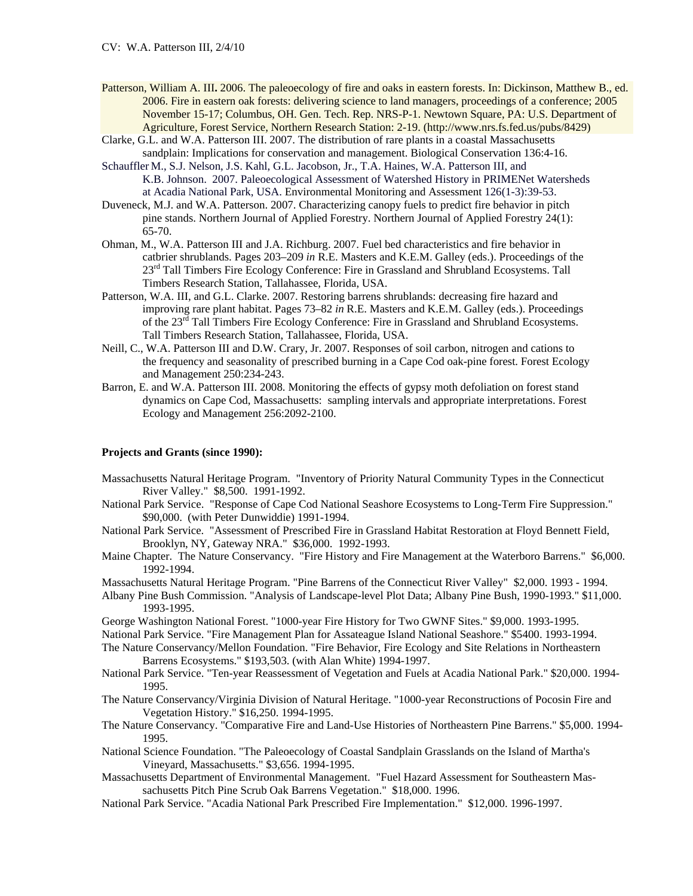- Patterson, William A. III**.** 2006. The paleoecology of fire and oaks in eastern forests. In: Dickinson, Matthew B., ed. 2006. Fire in eastern oak forests: delivering science to land managers, proceedings of a conference; 2005 November 15-17; Columbus, OH. Gen. Tech. Rep. NRS-P-1. Newtown Square, PA: U.S. Department of Agriculture, Forest Service, Northern Research Station: 2-19. (http://www.nrs.fs.fed.us/pubs/8429)
- Clarke, G.L. and W.A. Patterson III. 2007. The distribution of rare plants in a coastal Massachusetts sandplain: Implications for conservation and management. Biological Conservation 136:4-16.
- Schauffler M., S.J. Nelson, J.S. Kahl, G.L. Jacobson, Jr., T.A. Haines, W.A. Patterson III, and K.B. Johnson. 2007. Paleoecological Assessment of Watershed History in PRIMENet Watersheds at Acadia National Park, USA. Environmental Monitoring and Assessment 126(1-3):39-53.
- Duveneck, M.J. and W.A. Patterson. 2007. Characterizing canopy fuels to predict fire behavior in pitch pine stands. Northern Journal of Applied Forestry. Northern Journal of Applied Forestry 24(1): 65-70.
- Ohman, M., W.A. Patterson III and J.A. Richburg. 2007. Fuel bed characteristics and fire behavior in catbrier shrublands. Pages 203–209 *in* R.E. Masters and K.E.M. Galley (eds.). Proceedings of the 23<sup>rd</sup> Tall Timbers Fire Ecology Conference: Fire in Grassland and Shrubland Ecosystems. Tall Timbers Research Station, Tallahassee, Florida, USA.
- Patterson, W.A. III, and G.L. Clarke. 2007. Restoring barrens shrublands: decreasing fire hazard and improving rare plant habitat. Pages 73–82 *in* R.E. Masters and K.E.M. Galley (eds.). Proceedings of the 23rd Tall Timbers Fire Ecology Conference: Fire in Grassland and Shrubland Ecosystems. Tall Timbers Research Station, Tallahassee, Florida, USA.
- Neill, C., W.A. Patterson III and D.W. Crary, Jr. 2007. Responses of soil carbon, nitrogen and cations to the frequency and seasonality of prescribed burning in a Cape Cod oak-pine forest. Forest Ecology and Management 250:234-243.
- Barron, E. and W.A. Patterson III. 2008. Monitoring the effects of gypsy moth defoliation on forest stand dynamics on Cape Cod, Massachusetts: sampling intervals and appropriate interpretations. Forest Ecology and Management 256:2092-2100.

## **Projects and Grants (since 1990):**

- Massachusetts Natural Heritage Program. "Inventory of Priority Natural Community Types in the Connecticut River Valley." \$8,500. 1991-1992.
- National Park Service. "Response of Cape Cod National Seashore Ecosystems to Long-Term Fire Suppression." \$90,000. (with Peter Dunwiddie) 1991-1994.
- National Park Service. "Assessment of Prescribed Fire in Grassland Habitat Restoration at Floyd Bennett Field, Brooklyn, NY, Gateway NRA." \$36,000. 1992-1993.
- Maine Chapter. The Nature Conservancy. "Fire History and Fire Management at the Waterboro Barrens." \$6,000. 1992-1994.
- Massachusetts Natural Heritage Program. "Pine Barrens of the Connecticut River Valley" \$2,000. 1993 1994.
- Albany Pine Bush Commission. "Analysis of Landscape-level Plot Data; Albany Pine Bush, 1990-1993." \$11,000. 1993-1995.
- George Washington National Forest. "1000-year Fire History for Two GWNF Sites." \$9,000. 1993-1995.
- National Park Service. "Fire Management Plan for Assateague Island National Seashore." \$5400. 1993-1994.
- The Nature Conservancy/Mellon Foundation. "Fire Behavior, Fire Ecology and Site Relations in Northeastern Barrens Ecosystems." \$193,503. (with Alan White) 1994-1997.
- National Park Service. "Ten-year Reassessment of Vegetation and Fuels at Acadia National Park." \$20,000. 1994- 1995.
- The Nature Conservancy/Virginia Division of Natural Heritage. "1000-year Reconstructions of Pocosin Fire and Vegetation History." \$16,250. 1994-1995.
- The Nature Conservancy. "Comparative Fire and Land-Use Histories of Northeastern Pine Barrens." \$5,000. 1994- 1995.
- National Science Foundation. "The Paleoecology of Coastal Sandplain Grasslands on the Island of Martha's Vineyard, Massachusetts." \$3,656. 1994-1995.
- Massachusetts Department of Environmental Management. "Fuel Hazard Assessment for Southeastern Massachusetts Pitch Pine Scrub Oak Barrens Vegetation." \$18,000. 1996.
- National Park Service. "Acadia National Park Prescribed Fire Implementation." \$12,000. 1996-1997.